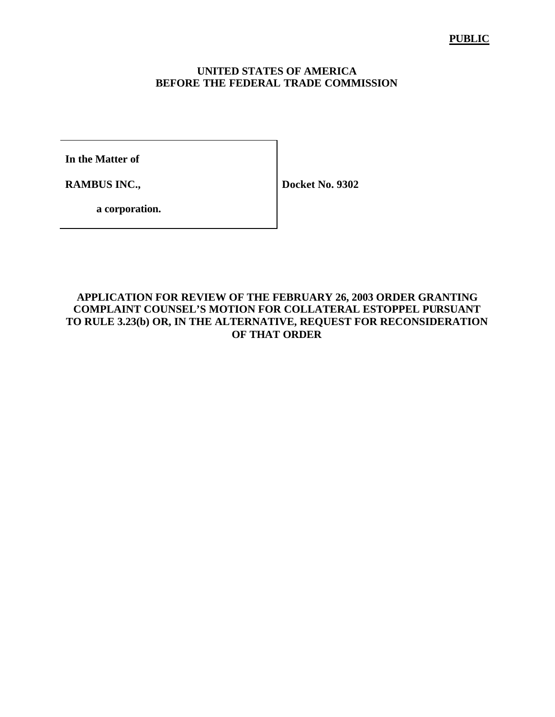#### **UNITED STATES OF AMERICA BEFORE THE FEDERAL TRADE COMMISSION**

**In the Matter of**

**RAMBUS INC.,**

**Docket No. 9302**

**a corporation.**

#### **APPLICATION FOR REVIEW OF THE FEBRUARY 26, 2003 ORDER GRANTING COMPLAINT COUNSEL'S MOTION FOR COLLATERAL ESTOPPEL PURSUANT TO RULE 3.23(b) OR, IN THE ALTERNATIVE, REQUEST FOR RECONSIDERATION OF THAT ORDER**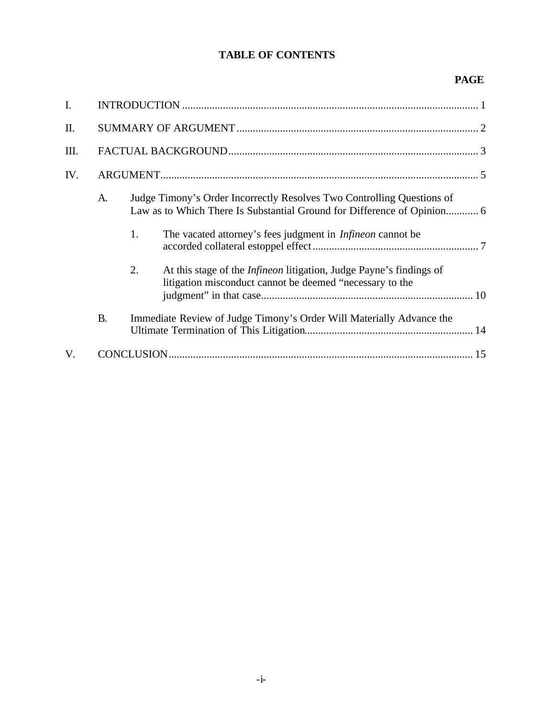## **TABLE OF CONTENTS**

## **PAGE**

| I.  |           |    |                                                                                                                                                   |  |
|-----|-----------|----|---------------------------------------------------------------------------------------------------------------------------------------------------|--|
| Π.  |           |    |                                                                                                                                                   |  |
| Ш.  |           |    |                                                                                                                                                   |  |
| IV. |           |    |                                                                                                                                                   |  |
|     | A.        |    | Judge Timony's Order Incorrectly Resolves Two Controlling Questions of<br>Law as to Which There Is Substantial Ground for Difference of Opinion 6 |  |
|     |           | 1. | The vacated attorney's fees judgment in <i>Infineon</i> cannot be                                                                                 |  |
|     |           | 2. | At this stage of the <i>Infineon</i> litigation, Judge Payne's findings of<br>litigation misconduct cannot be deemed "necessary to the            |  |
|     | <b>B.</b> |    | Immediate Review of Judge Timony's Order Will Materially Advance the                                                                              |  |
| V.  |           |    |                                                                                                                                                   |  |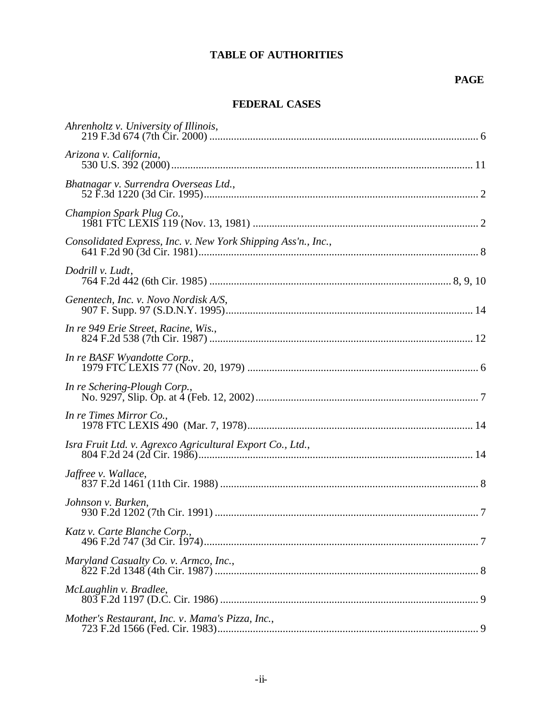## **TABLE OF AUTHORITIES**

### **PAGE**

### **FEDERAL CASES**

| Ahrenholtz v. University of Illinois,                         |  |
|---------------------------------------------------------------|--|
| Arizona v. California,                                        |  |
| Bhatnagar v. Surrendra Overseas Ltd.,                         |  |
| Champion Spark Plug Co.,                                      |  |
| Consolidated Express, Inc. v. New York Shipping Ass'n., Inc., |  |
| Dodrill v. Ludt,                                              |  |
| Genentech, Inc. v. Novo Nordisk A/S,                          |  |
| In re 949 Erie Street, Racine, Wis.,                          |  |
| In re BASF Wyandotte Corp.,                                   |  |
| In re Schering-Plough Corp.,                                  |  |
| In re Times Mirror Co.,                                       |  |
| Isra Fruit Ltd. v. Agrexco Agricultural Export Co., Ltd.,     |  |
| Jaffree v. Wallace,                                           |  |
| Johnson v. Burken,                                            |  |
| Katz v. Carte Blanche Corp.,                                  |  |
| Maryland Casualty Co. v. Armco, Inc.,                         |  |
| McLaughlin v. Bradlee,                                        |  |
| Mother's Restaurant, Inc. v. Mama's Pizza, Inc.,              |  |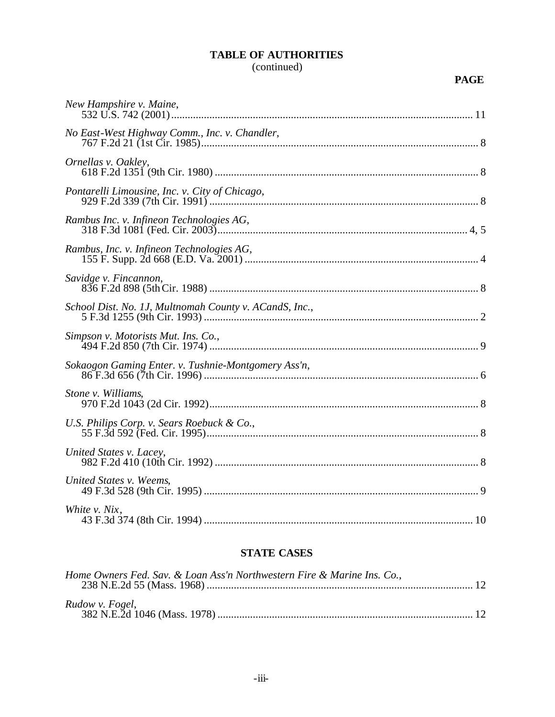# **TABLE OF AUTHORITIES**

# (continued)

#### **PAGE**

| New Hampshire v. Maine,                                |  |
|--------------------------------------------------------|--|
| No East-West Highway Comm., Inc. v. Chandler,          |  |
| Ornellas v. Oakley,                                    |  |
| Pontarelli Limousine, Inc. v. City of Chicago,         |  |
| Rambus Inc. v. Infineon Technologies AG,               |  |
| Rambus, Inc. v. Infineon Technologies AG,              |  |
| Savidge v. Fincannon,                                  |  |
| School Dist. No. 1J, Multnomah County v. ACandS, Inc., |  |
| Simpson v. Motorists Mut. Ins. Co.,                    |  |
| Sokaogon Gaming Enter. v. Tushnie-Montgomery Ass'n,    |  |
| Stone v. Williams,                                     |  |
| U.S. Philips Corp. v. Sears Roebuck & Co.,             |  |
| United States v. Lacey,                                |  |
| United States v. Weems,                                |  |
| White v. Nix,                                          |  |

# **STATE CASES**

| Home Owners Fed. Sav. & Loan Ass'n Northwestern Fire & Marine Ins. Co., |  |
|-------------------------------------------------------------------------|--|
| Rudow v. Fogel,                                                         |  |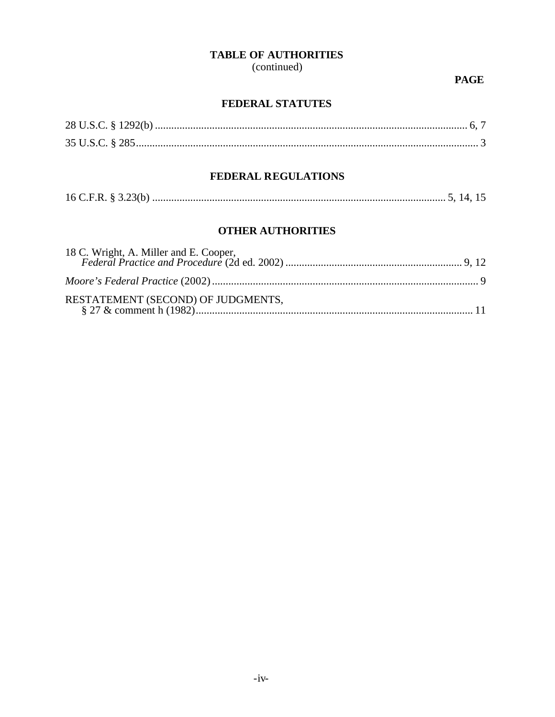### **TABLE OF AUTHORITIES**

(continued)

**PAGE** 

### FEDERAL STATUTES

# FEDERAL REGULATIONS

|--|--|--|--|

## **OTHER AUTHORITIES**

| 18 C. Wright, A. Miller and E. Cooper, |  |
|----------------------------------------|--|
|                                        |  |
| RESTATEMENT (SECOND) OF JUDGMENTS,     |  |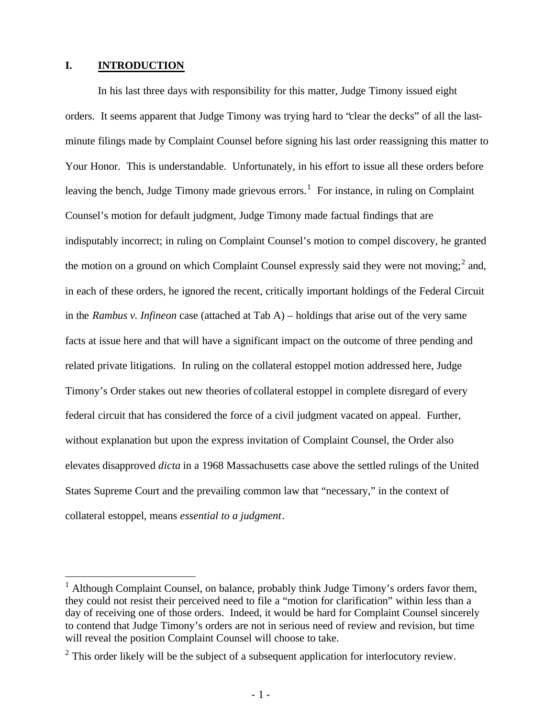#### **I. INTRODUCTION**

 $\overline{a}$ 

In his last three days with responsibility for this matter, Judge Timony issued eight orders. It seems apparent that Judge Timony was trying hard to "clear the decks" of all the lastminute filings made by Complaint Counsel before signing his last order reassigning this matter to Your Honor. This is understandable. Unfortunately, in his effort to issue all these orders before leaving the bench, Judge Timony made grievous errors.<sup>1</sup> For instance, in ruling on Complaint Counsel's motion for default judgment, Judge Timony made factual findings that are indisputably incorrect; in ruling on Complaint Counsel's motion to compel discovery, he granted the motion on a ground on which Complaint Counsel expressly said they were not moving;<sup>2</sup> and, in each of these orders, he ignored the recent, critically important holdings of the Federal Circuit in the *Rambus v. Infineon* case (attached at Tab A) – holdings that arise out of the very same facts at issue here and that will have a significant impact on the outcome of three pending and related private litigations. In ruling on the collateral estoppel motion addressed here, Judge Timony's Order stakes out new theories of collateral estoppel in complete disregard of every federal circuit that has considered the force of a civil judgment vacated on appeal. Further, without explanation but upon the express invitation of Complaint Counsel, the Order also elevates disapproved *dicta* in a 1968 Massachusetts case above the settled rulings of the United States Supreme Court and the prevailing common law that "necessary," in the context of collateral estoppel, means *essential to a judgment*.

<sup>&</sup>lt;sup>1</sup> Although Complaint Counsel, on balance, probably think Judge Timony's orders favor them, they could not resist their perceived need to file a "motion for clarification" within less than a day of receiving one of those orders. Indeed, it would be hard for Complaint Counsel sincerely to contend that Judge Timony's orders are not in serious need of review and revision, but time will reveal the position Complaint Counsel will choose to take.

 $2$  This order likely will be the subject of a subsequent application for interlocutory review.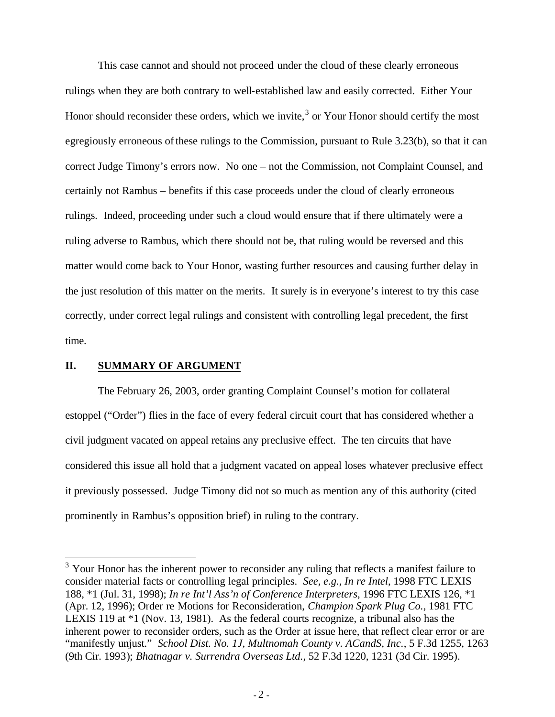This case cannot and should not proceed under the cloud of these clearly erroneous rulings when they are both contrary to well-established law and easily corrected. Either Your Honor should reconsider these orders, which we invite, $3$  or Your Honor should certify the most egregiously erroneous of these rulings to the Commission, pursuant to Rule 3.23(b), so that it can correct Judge Timony's errors now. No one – not the Commission, not Complaint Counsel, and certainly not Rambus – benefits if this case proceeds under the cloud of clearly erroneous rulings. Indeed, proceeding under such a cloud would ensure that if there ultimately were a ruling adverse to Rambus, which there should not be, that ruling would be reversed and this matter would come back to Your Honor, wasting further resources and causing further delay in the just resolution of this matter on the merits. It surely is in everyone's interest to try this case correctly, under correct legal rulings and consistent with controlling legal precedent, the first time.

#### **II. SUMMARY OF ARGUMENT**

 $\overline{a}$ 

The February 26, 2003, order granting Complaint Counsel's motion for collateral estoppel ("Order") flies in the face of every federal circuit court that has considered whether a civil judgment vacated on appeal retains any preclusive effect. The ten circuits that have considered this issue all hold that a judgment vacated on appeal loses whatever preclusive effect it previously possessed. Judge Timony did not so much as mention any of this authority (cited prominently in Rambus's opposition brief) in ruling to the contrary.

 $3$  Your Honor has the inherent power to reconsider any ruling that reflects a manifest failure to consider material facts or controlling legal principles. *See, e.g., In re Intel*, 1998 FTC LEXIS 188, \*1 (Jul. 31, 1998); *In re Int'l Ass'n of Conference Interpreters*, 1996 FTC LEXIS 126, \*1 (Apr. 12, 1996); Order re Motions for Reconsideration, *Champion Spark Plug Co.*, 1981 FTC LEXIS 119 at \*1 (Nov. 13, 1981). As the federal courts recognize, a tribunal also has the inherent power to reconsider orders, such as the Order at issue here, that reflect clear error or are "manifestly unjust." *School Dist. No. 1J, Multnomah County v. ACandS, Inc.*, 5 F.3d 1255, 1263 (9th Cir. 1993); *Bhatnagar v. Surrendra Overseas Ltd.*, 52 F.3d 1220, 1231 (3d Cir. 1995).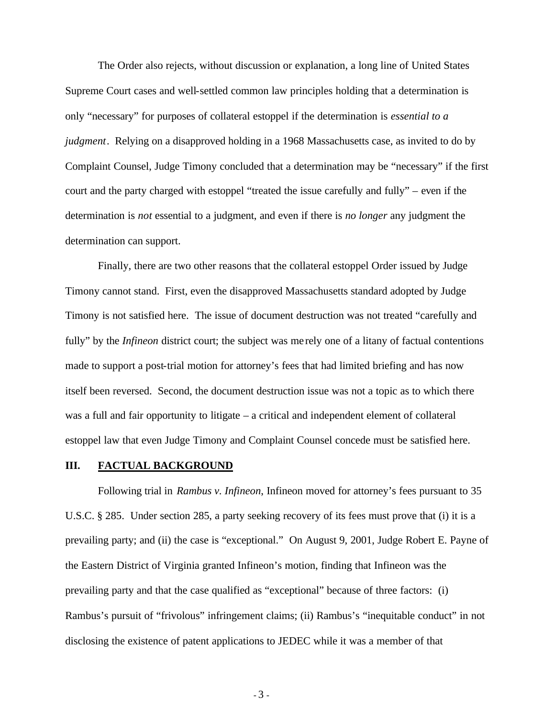The Order also rejects, without discussion or explanation, a long line of United States Supreme Court cases and well-settled common law principles holding that a determination is only "necessary" for purposes of collateral estoppel if the determination is *essential to a judgment*. Relying on a disapproved holding in a 1968 Massachusetts case, as invited to do by Complaint Counsel, Judge Timony concluded that a determination may be "necessary" if the first court and the party charged with estoppel "treated the issue carefully and fully" – even if the determination is *not* essential to a judgment, and even if there is *no longer* any judgment the determination can support.

Finally, there are two other reasons that the collateral estoppel Order issued by Judge Timony cannot stand. First, even the disapproved Massachusetts standard adopted by Judge Timony is not satisfied here. The issue of document destruction was not treated "carefully and fully" by the *Infineon* district court; the subject was me rely one of a litany of factual contentions made to support a post-trial motion for attorney's fees that had limited briefing and has now itself been reversed. Second, the document destruction issue was not a topic as to which there was a full and fair opportunity to litigate – a critical and independent element of collateral estoppel law that even Judge Timony and Complaint Counsel concede must be satisfied here.

#### **III. FACTUAL BACKGROUND**

Following trial in *Rambus v. Infineon*, Infineon moved for attorney's fees pursuant to 35 U.S.C. § 285. Under section 285, a party seeking recovery of its fees must prove that (i) it is a prevailing party; and (ii) the case is "exceptional." On August 9, 2001, Judge Robert E. Payne of the Eastern District of Virginia granted Infineon's motion, finding that Infineon was the prevailing party and that the case qualified as "exceptional" because of three factors: (i) Rambus's pursuit of "frivolous" infringement claims; (ii) Rambus's "inequitable conduct" in not disclosing the existence of patent applications to JEDEC while it was a member of that

- 3 -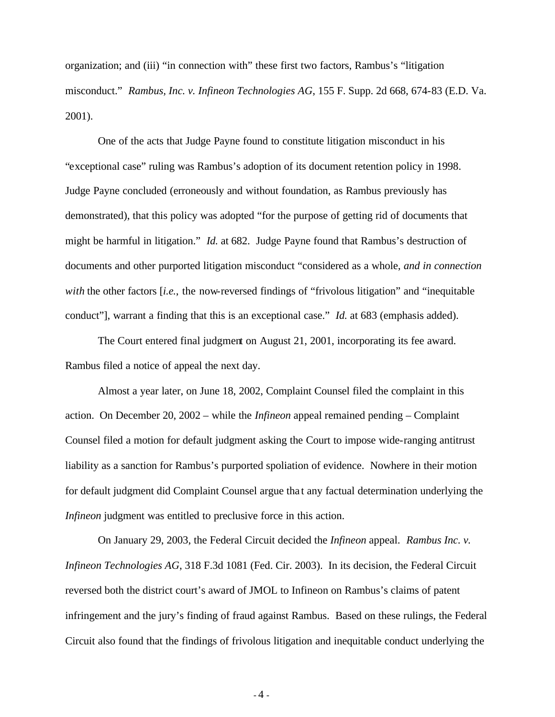organization; and (iii) "in connection with" these first two factors, Rambus's "litigation misconduct." *Rambus, Inc. v. Infineon Technologies AG*, 155 F. Supp. 2d 668, 674-83 (E.D. Va. 2001).

One of the acts that Judge Payne found to constitute litigation misconduct in his "exceptional case" ruling was Rambus's adoption of its document retention policy in 1998. Judge Payne concluded (erroneously and without foundation, as Rambus previously has demonstrated), that this policy was adopted "for the purpose of getting rid of documents that might be harmful in litigation." *Id.* at 682. Judge Payne found that Rambus's destruction of documents and other purported litigation misconduct "considered as a whole, *and in connection with* the other factors [*i.e.*, the now-reversed findings of "frivolous litigation" and "inequitable conduct"], warrant a finding that this is an exceptional case." *Id.* at 683 (emphasis added).

The Court entered final judgment on August 21, 2001, incorporating its fee award. Rambus filed a notice of appeal the next day.

Almost a year later, on June 18, 2002, Complaint Counsel filed the complaint in this action. On December 20, 2002 – while the *Infineon* appeal remained pending – Complaint Counsel filed a motion for default judgment asking the Court to impose wide-ranging antitrust liability as a sanction for Rambus's purported spoliation of evidence. Nowhere in their motion for default judgment did Complaint Counsel argue tha t any factual determination underlying the *Infineon* judgment was entitled to preclusive force in this action.

On January 29, 2003, the Federal Circuit decided the *Infineon* appeal. *Rambus Inc. v. Infineon Technologies AG*, 318 F.3d 1081 (Fed. Cir. 2003). In its decision, the Federal Circuit reversed both the district court's award of JMOL to Infineon on Rambus's claims of patent infringement and the jury's finding of fraud against Rambus. Based on these rulings, the Federal Circuit also found that the findings of frivolous litigation and inequitable conduct underlying the

 $-4 -$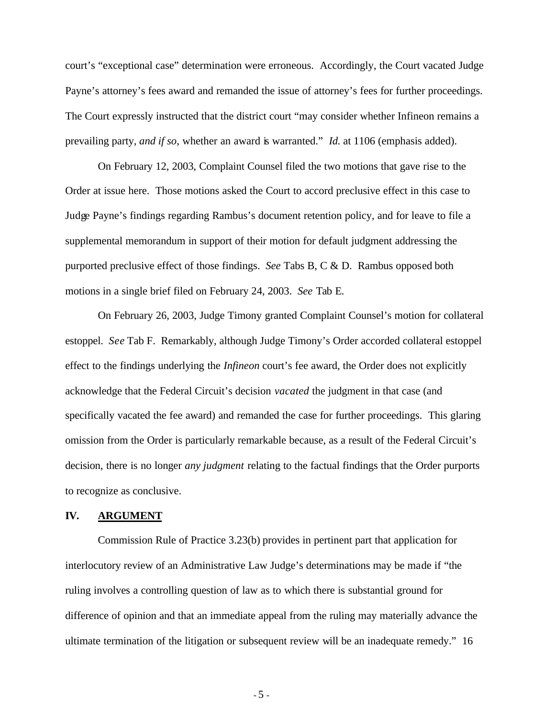court's "exceptional case" determination were erroneous. Accordingly, the Court vacated Judge Payne's attorney's fees award and remanded the issue of attorney's fees for further proceedings. The Court expressly instructed that the district court "may consider whether Infineon remains a prevailing party, *and if so*, whether an award is warranted." *Id.* at 1106 (emphasis added).

On February 12, 2003, Complaint Counsel filed the two motions that gave rise to the Order at issue here. Those motions asked the Court to accord preclusive effect in this case to Judge Payne's findings regarding Rambus's document retention policy, and for leave to file a supplemental memorandum in support of their motion for default judgment addressing the purported preclusive effect of those findings. *See* Tabs B, C & D. Rambus opposed both motions in a single brief filed on February 24, 2003. *See* Tab E.

On February 26, 2003, Judge Timony granted Complaint Counsel's motion for collateral estoppel. *See* Tab F. Remarkably, although Judge Timony's Order accorded collateral estoppel effect to the findings underlying the *Infineon* court's fee award, the Order does not explicitly acknowledge that the Federal Circuit's decision *vacated* the judgment in that case (and specifically vacated the fee award) and remanded the case for further proceedings. This glaring omission from the Order is particularly remarkable because, as a result of the Federal Circuit's decision, there is no longer *any judgment* relating to the factual findings that the Order purports to recognize as conclusive.

#### **IV. ARGUMENT**

Commission Rule of Practice 3.23(b) provides in pertinent part that application for interlocutory review of an Administrative Law Judge's determinations may be made if "the ruling involves a controlling question of law as to which there is substantial ground for difference of opinion and that an immediate appeal from the ruling may materially advance the ultimate termination of the litigation or subsequent review will be an inadequate remedy." 16

- 5 -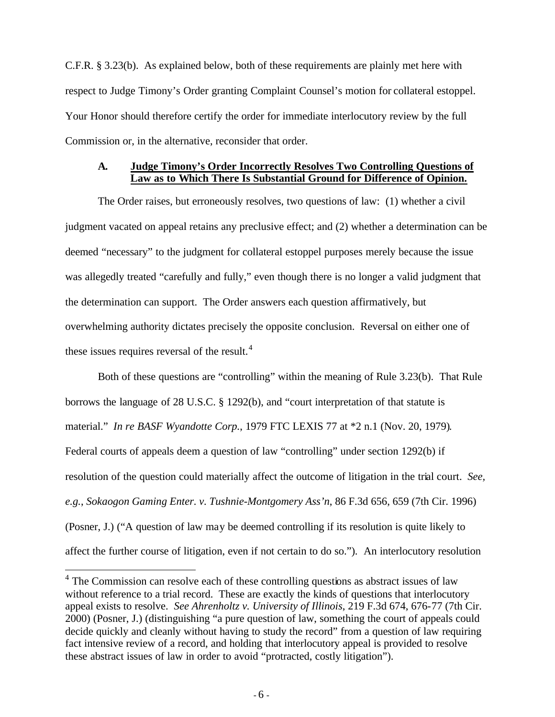C.F.R. § 3.23(b). As explained below, both of these requirements are plainly met here with respect to Judge Timony's Order granting Complaint Counsel's motion for collateral estoppel. Your Honor should therefore certify the order for immediate interlocutory review by the full Commission or, in the alternative, reconsider that order.

#### **A. Judge Timony's Order Incorrectly Resolves Two Controlling Questions of Law as to Which There Is Substantial Ground for Difference of Opinion.**

The Order raises, but erroneously resolves, two questions of law: (1) whether a civil judgment vacated on appeal retains any preclusive effect; and (2) whether a determination can be deemed "necessary" to the judgment for collateral estoppel purposes merely because the issue was allegedly treated "carefully and fully," even though there is no longer a valid judgment that the determination can support. The Order answers each question affirmatively, but overwhelming authority dictates precisely the opposite conclusion. Reversal on either one of these issues requires reversal of the result.<sup>4</sup>

Both of these questions are "controlling" within the meaning of Rule 3.23(b). That Rule borrows the language of 28 U.S.C. § 1292(b), and "court interpretation of that statute is material." *In re BASF Wyandotte Corp.*, 1979 FTC LEXIS 77 at \*2 n.1 (Nov. 20, 1979). Federal courts of appeals deem a question of law "controlling" under section 1292(b) if resolution of the question could materially affect the outcome of litigation in the trial court. *See, e.g.*, *Sokaogon Gaming Enter. v. Tushnie-Montgomery Ass'n*, 86 F.3d 656, 659 (7th Cir. 1996) (Posner, J.) ("A question of law may be deemed controlling if its resolution is quite likely to affect the further course of litigation, even if not certain to do so."). An interlocutory resolution

<sup>&</sup>lt;sup>4</sup> The Commission can resolve each of these controlling questions as abstract issues of law without reference to a trial record. These are exactly the kinds of questions that interlocutory appeal exists to resolve. *See Ahrenholtz v. University of Illinois*, 219 F.3d 674, 676-77 (7th Cir. 2000) (Posner, J.) (distinguishing "a pure question of law, something the court of appeals could decide quickly and cleanly without having to study the record" from a question of law requiring fact intensive review of a record, and holding that interlocutory appeal is provided to resolve these abstract issues of law in order to avoid "protracted, costly litigation").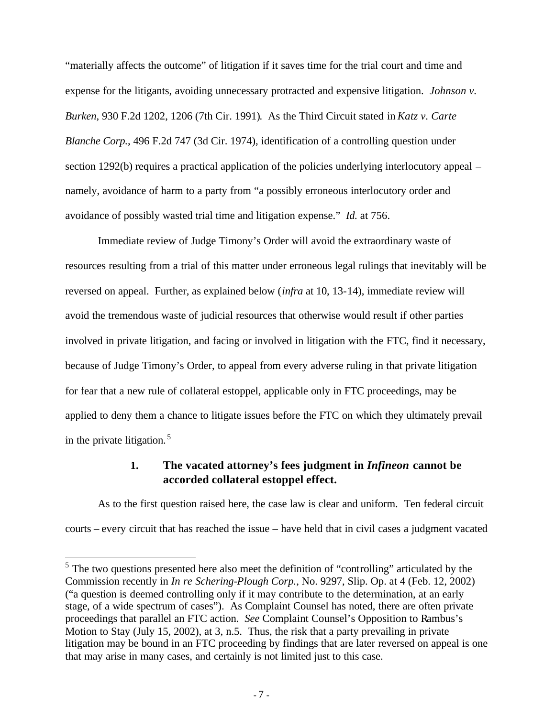"materially affects the outcome" of litigation if it saves time for the trial court and time and expense for the litigants, avoiding unnecessary protracted and expensive litigation. *Johnson v. Burken*, 930 F.2d 1202, 1206 (7th Cir. 1991). As the Third Circuit stated in *Katz v. Carte Blanche Corp.*, 496 F.2d 747 (3d Cir. 1974), identification of a controlling question under section 1292(b) requires a practical application of the policies underlying interlocutory appeal – namely, avoidance of harm to a party from "a possibly erroneous interlocutory order and avoidance of possibly wasted trial time and litigation expense." *Id.* at 756.

Immediate review of Judge Timony's Order will avoid the extraordinary waste of resources resulting from a trial of this matter under erroneous legal rulings that inevitably will be reversed on appeal. Further, as explained below (*infra* at 10, 13-14), immediate review will avoid the tremendous waste of judicial resources that otherwise would result if other parties involved in private litigation, and facing or involved in litigation with the FTC, find it necessary, because of Judge Timony's Order, to appeal from every adverse ruling in that private litigation for fear that a new rule of collateral estoppel, applicable only in FTC proceedings, may be applied to deny them a chance to litigate issues before the FTC on which they ultimately prevail in the private litigation. <sup>5</sup>

### **1. The vacated attorney's fees judgment in** *Infineon* **cannot be accorded collateral estoppel effect.**

As to the first question raised here, the case law is clear and uniform. Ten federal circuit courts – every circuit that has reached the issue – have held that in civil cases a judgment vacated

 $\overline{a}$ 

<sup>&</sup>lt;sup>5</sup> The two questions presented here also meet the definition of "controlling" articulated by the Commission recently in *In re Schering-Plough Corp.*, No. 9297, Slip. Op. at 4 (Feb. 12, 2002) ("a question is deemed controlling only if it may contribute to the determination, at an early stage, of a wide spectrum of cases"). As Complaint Counsel has noted, there are often private proceedings that parallel an FTC action. *See* Complaint Counsel's Opposition to Rambus's Motion to Stay (July 15, 2002), at 3, n.5. Thus, the risk that a party prevailing in private litigation may be bound in an FTC proceeding by findings that are later reversed on appeal is one that may arise in many cases, and certainly is not limited just to this case.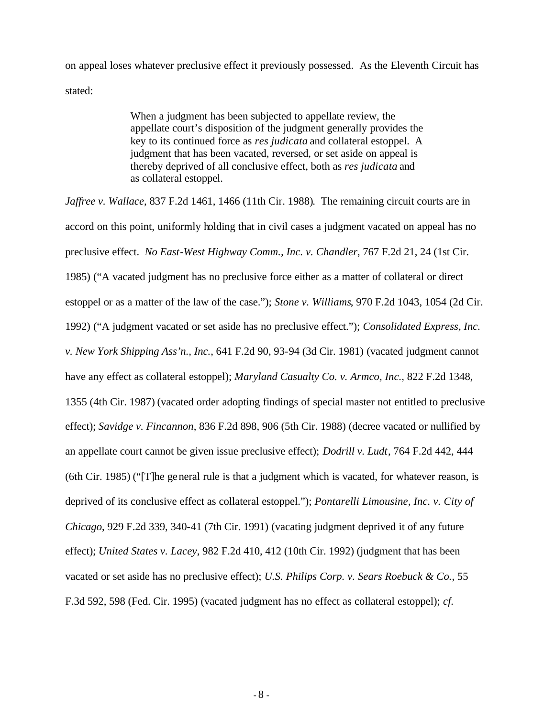on appeal loses whatever preclusive effect it previously possessed. As the Eleventh Circuit has stated:

> When a judgment has been subjected to appellate review, the appellate court's disposition of the judgment generally provides the key to its continued force as *res judicata* and collateral estoppel. A judgment that has been vacated, reversed, or set aside on appeal is thereby deprived of all conclusive effect, both as *res judicata* and as collateral estoppel.

*Jaffree v. Wallace*, 837 F.2d 1461, 1466 (11th Cir. 1988). The remaining circuit courts are in accord on this point, uniformly holding that in civil cases a judgment vacated on appeal has no preclusive effect. *No East-West Highway Comm., Inc. v. Chandler*, 767 F.2d 21, 24 (1st Cir. 1985) ("A vacated judgment has no preclusive force either as a matter of collateral or direct estoppel or as a matter of the law of the case."); *Stone v. Williams*, 970 F.2d 1043, 1054 (2d Cir. 1992) ("A judgment vacated or set aside has no preclusive effect."); *Consolidated Express, Inc. v. New York Shipping Ass'n., Inc.*, 641 F.2d 90, 93-94 (3d Cir. 1981) (vacated judgment cannot have any effect as collateral estoppel); *Maryland Casualty Co. v. Armco, Inc.*, 822 F.2d 1348, 1355 (4th Cir. 1987) (vacated order adopting findings of special master not entitled to preclusive effect); *Savidge v. Fincannon*, 836 F.2d 898, 906 (5th Cir. 1988) (decree vacated or nullified by an appellate court cannot be given issue preclusive effect); *Dodrill v. Ludt*, 764 F.2d 442, 444 (6th Cir. 1985) ("[T]he general rule is that a judgment which is vacated, for whatever reason, is deprived of its conclusive effect as collateral estoppel."); *Pontarelli Limousine, Inc. v. City of Chicago*, 929 F.2d 339, 340-41 (7th Cir. 1991) (vacating judgment deprived it of any future effect); *United States v. Lacey*, 982 F.2d 410, 412 (10th Cir. 1992) (judgment that has been vacated or set aside has no preclusive effect); *U.S. Philips Corp. v. Sears Roebuck & Co.*, 55 F.3d 592, 598 (Fed. Cir. 1995) (vacated judgment has no effect as collateral estoppel); *cf.*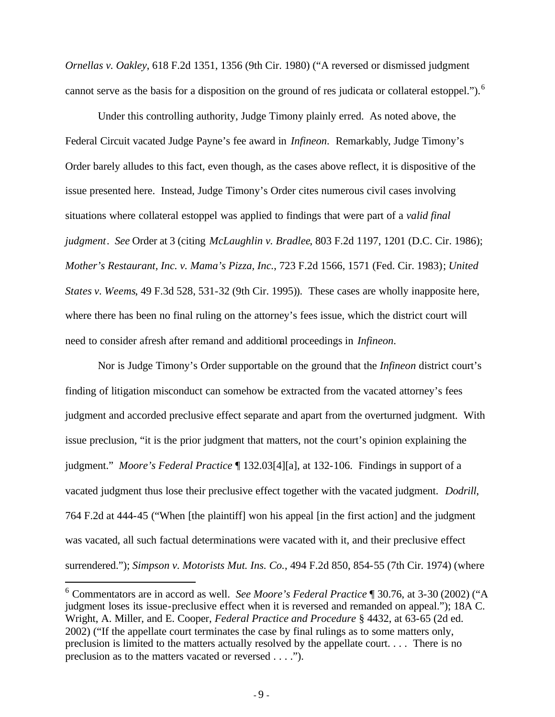*Ornellas v. Oakley*, 618 F.2d 1351, 1356 (9th Cir. 1980) ("A reversed or dismissed judgment cannot serve as the basis for a disposition on the ground of res judicata or collateral estoppel.").<sup>6</sup>

Under this controlling authority, Judge Timony plainly erred. As noted above, the Federal Circuit vacated Judge Payne's fee award in *Infineon*. Remarkably, Judge Timony's Order barely alludes to this fact, even though, as the cases above reflect, it is dispositive of the issue presented here. Instead, Judge Timony's Order cites numerous civil cases involving situations where collateral estoppel was applied to findings that were part of a *valid final judgment*. *See* Order at 3 (citing *McLaughlin v. Bradlee*, 803 F.2d 1197, 1201 (D.C. Cir. 1986); *Mother's Restaurant, Inc. v. Mama's Pizza, Inc.*, 723 F.2d 1566, 1571 (Fed. Cir. 1983); *United States v. Weems*, 49 F.3d 528, 531-32 (9th Cir. 1995)). These cases are wholly inapposite here, where there has been no final ruling on the attorney's fees issue, which the district court will need to consider afresh after remand and additional proceedings in *Infineon*.

Nor is Judge Timony's Order supportable on the ground that the *Infineon* district court's finding of litigation misconduct can somehow be extracted from the vacated attorney's fees judgment and accorded preclusive effect separate and apart from the overturned judgment. With issue preclusion, "it is the prior judgment that matters, not the court's opinion explaining the judgment." *Moore's Federal Practice* ¶ 132.03[4][a], at 132-106. Findings in support of a vacated judgment thus lose their preclusive effect together with the vacated judgment. *Dodrill*, 764 F.2d at 444-45 ("When [the plaintiff] won his appeal [in the first action] and the judgment was vacated, all such factual determinations were vacated with it, and their preclusive effect surrendered."); *Simpson v. Motorists Mut. Ins. Co.*, 494 F.2d 850, 854-55 (7th Cir. 1974) (where

 $\overline{a}$ 

<sup>6</sup> Commentators are in accord as well. *See Moore's Federal Practice* ¶ 30.76, at 3-30 (2002) ("A judgment loses its issue-preclusive effect when it is reversed and remanded on appeal."); 18A C. Wright, A. Miller, and E. Cooper, *Federal Practice and Procedure* § 4432, at 63-65 (2d ed. 2002) ("If the appellate court terminates the case by final rulings as to some matters only, preclusion is limited to the matters actually resolved by the appellate court. . . . There is no preclusion as to the matters vacated or reversed . . . .").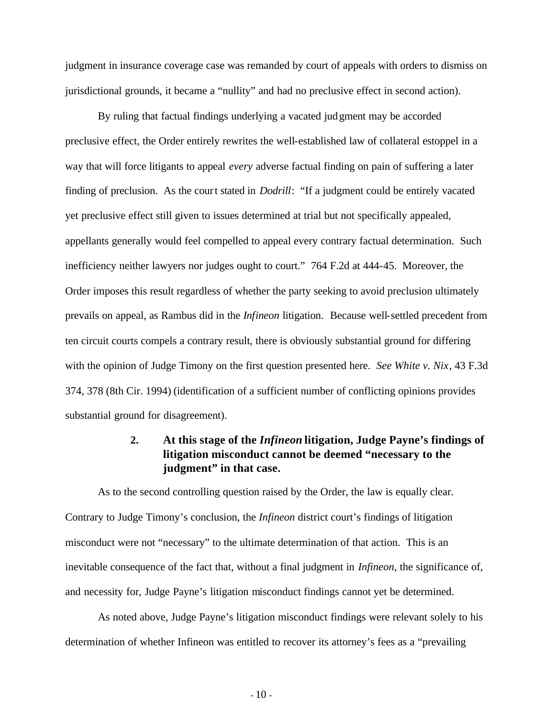judgment in insurance coverage case was remanded by court of appeals with orders to dismiss on jurisdictional grounds, it became a "nullity" and had no preclusive effect in second action).

By ruling that factual findings underlying a vacated judgment may be accorded preclusive effect, the Order entirely rewrites the well-established law of collateral estoppel in a way that will force litigants to appeal *every* adverse factual finding on pain of suffering a later finding of preclusion. As the court stated in *Dodrill*: "If a judgment could be entirely vacated yet preclusive effect still given to issues determined at trial but not specifically appealed, appellants generally would feel compelled to appeal every contrary factual determination. Such inefficiency neither lawyers nor judges ought to court." 764 F.2d at 444-45. Moreover, the Order imposes this result regardless of whether the party seeking to avoid preclusion ultimately prevails on appeal, as Rambus did in the *Infineon* litigation. Because well-settled precedent from ten circuit courts compels a contrary result, there is obviously substantial ground for differing with the opinion of Judge Timony on the first question presented here. *See White v. Nix*, 43 F.3d 374, 378 (8th Cir. 1994) (identification of a sufficient number of conflicting opinions provides substantial ground for disagreement).

## **2. At this stage of the** *Infineon* **litigation, Judge Payne's findings of litigation misconduct cannot be deemed "necessary to the judgment" in that case.**

As to the second controlling question raised by the Order, the law is equally clear. Contrary to Judge Timony's conclusion, the *Infineon* district court's findings of litigation misconduct were not "necessary" to the ultimate determination of that action. This is an inevitable consequence of the fact that, without a final judgment in *Infineon*, the significance of, and necessity for, Judge Payne's litigation misconduct findings cannot yet be determined.

As noted above, Judge Payne's litigation misconduct findings were relevant solely to his determination of whether Infineon was entitled to recover its attorney's fees as a "prevailing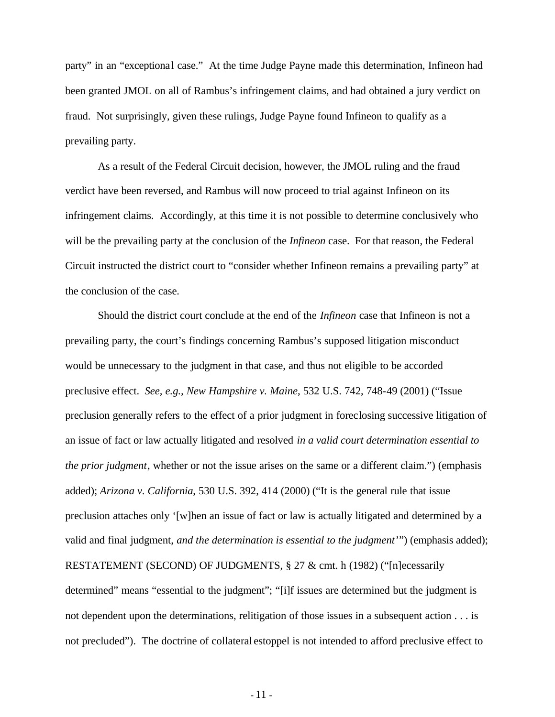party" in an "exceptional case." At the time Judge Payne made this determination, Infineon had been granted JMOL on all of Rambus's infringement claims, and had obtained a jury verdict on fraud. Not surprisingly, given these rulings, Judge Payne found Infineon to qualify as a prevailing party.

As a result of the Federal Circuit decision, however, the JMOL ruling and the fraud verdict have been reversed, and Rambus will now proceed to trial against Infineon on its infringement claims. Accordingly, at this time it is not possible to determine conclusively who will be the prevailing party at the conclusion of the *Infineon* case. For that reason, the Federal Circuit instructed the district court to "consider whether Infineon remains a prevailing party" at the conclusion of the case.

Should the district court conclude at the end of the *Infineon* case that Infineon is not a prevailing party, the court's findings concerning Rambus's supposed litigation misconduct would be unnecessary to the judgment in that case, and thus not eligible to be accorded preclusive effect. *See, e.g., New Hampshire v. Maine*, 532 U.S. 742, 748-49 (2001) ("Issue preclusion generally refers to the effect of a prior judgment in foreclosing successive litigation of an issue of fact or law actually litigated and resolved *in a valid court determination essential to the prior judgment*, whether or not the issue arises on the same or a different claim.") (emphasis added); *Arizona v. California*, 530 U.S. 392, 414 (2000) ("It is the general rule that issue preclusion attaches only '[w]hen an issue of fact or law is actually litigated and determined by a valid and final judgment, *and the determination is essential to the judgment*'") (emphasis added); RESTATEMENT (SECOND) OF JUDGMENTS, § 27 & cmt. h (1982) ("[n]ecessarily determined" means "essential to the judgment"; "[i]f issues are determined but the judgment is not dependent upon the determinations, relitigation of those issues in a subsequent action . . . is not precluded"). The doctrine of collateral estoppel is not intended to afford preclusive effect to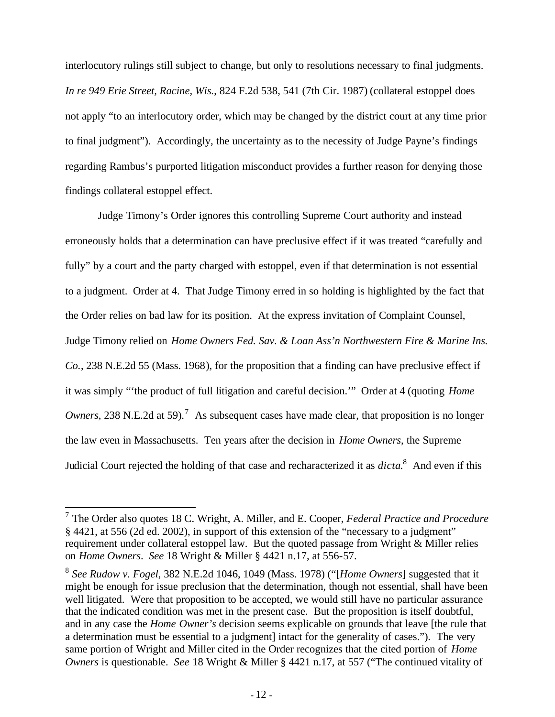interlocutory rulings still subject to change, but only to resolutions necessary to final judgments. *In re 949 Erie Street, Racine, Wis.*, 824 F.2d 538, 541 (7th Cir. 1987) (collateral estoppel does not apply "to an interlocutory order, which may be changed by the district court at any time prior to final judgment"). Accordingly, the uncertainty as to the necessity of Judge Payne's findings regarding Rambus's purported litigation misconduct provides a further reason for denying those findings collateral estoppel effect.

Judge Timony's Order ignores this controlling Supreme Court authority and instead erroneously holds that a determination can have preclusive effect if it was treated "carefully and fully" by a court and the party charged with estoppel, even if that determination is not essential to a judgment. Order at 4. That Judge Timony erred in so holding is highlighted by the fact that the Order relies on bad law for its position. At the express invitation of Complaint Counsel, Judge Timony relied on *Home Owners Fed. Sav. & Loan Ass'n Northwestern Fire & Marine Ins. Co.*, 238 N.E.2d 55 (Mass. 1968), for the proposition that a finding can have preclusive effect if it was simply "'the product of full litigation and careful decision.'" Order at 4 (quoting *Home Owners*, 238 N.E.2d at 59).<sup>7</sup> As subsequent cases have made clear, that proposition is no longer the law even in Massachusetts. Ten years after the decision in *Home Owners*, the Supreme Judicial Court rejected the holding of that case and recharacterized it as *dicta*. 8 And even if this

 7 The Order also quotes 18 C. Wright, A. Miller, and E. Cooper, *Federal Practice and Procedure* § 4421, at 556 (2d ed. 2002), in support of this extension of the "necessary to a judgment" requirement under collateral estoppel law. But the quoted passage from Wright & Miller relies on *Home Owners*. *See* 18 Wright & Miller § 4421 n.17, at 556-57.

<sup>8</sup> *See Rudow v. Fogel*, 382 N.E.2d 1046, 1049 (Mass. 1978) ("[*Home Owners*] suggested that it might be enough for issue preclusion that the determination, though not essential, shall have been well litigated. Were that proposition to be accepted, we would still have no particular assurance that the indicated condition was met in the present case. But the proposition is itself doubtful, and in any case the *Home Owner's* decision seems explicable on grounds that leave [the rule that a determination must be essential to a judgment] intact for the generality of cases."). The very same portion of Wright and Miller cited in the Order recognizes that the cited portion of *Home Owners* is questionable. *See* 18 Wright & Miller § 4421 n.17, at 557 ("The continued vitality of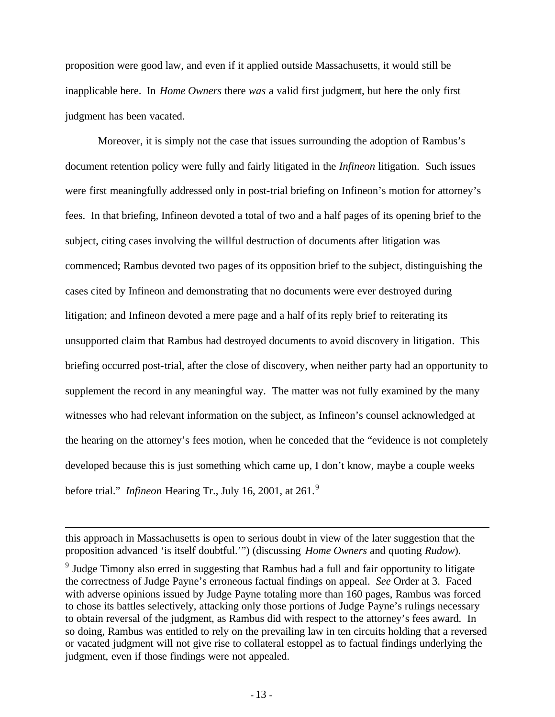proposition were good law, and even if it applied outside Massachusetts, it would still be inapplicable here. In *Home Owners* there *was* a valid first judgment, but here the only first judgment has been vacated.

Moreover, it is simply not the case that issues surrounding the adoption of Rambus's document retention policy were fully and fairly litigated in the *Infineon* litigation. Such issues were first meaningfully addressed only in post-trial briefing on Infineon's motion for attorney's fees. In that briefing, Infineon devoted a total of two and a half pages of its opening brief to the subject, citing cases involving the willful destruction of documents after litigation was commenced; Rambus devoted two pages of its opposition brief to the subject, distinguishing the cases cited by Infineon and demonstrating that no documents were ever destroyed during litigation; and Infineon devoted a mere page and a half of its reply brief to reiterating its unsupported claim that Rambus had destroyed documents to avoid discovery in litigation. This briefing occurred post-trial, after the close of discovery, when neither party had an opportunity to supplement the record in any meaningful way. The matter was not fully examined by the many witnesses who had relevant information on the subject, as Infineon's counsel acknowledged at the hearing on the attorney's fees motion, when he conceded that the "evidence is not completely developed because this is just something which came up, I don't know, maybe a couple weeks before trial." *Infineon* Hearing Tr., July 16, 2001, at 261.<sup>9</sup>

 $\overline{a}$ 

this approach in Massachusetts is open to serious doubt in view of the later suggestion that the proposition advanced 'is itself doubtful.'") (discussing *Home Owners* and quoting *Rudow*).

<sup>&</sup>lt;sup>9</sup> Judge Timony also erred in suggesting that Rambus had a full and fair opportunity to litigate the correctness of Judge Payne's erroneous factual findings on appeal. *See* Order at 3. Faced with adverse opinions issued by Judge Payne totaling more than 160 pages, Rambus was forced to chose its battles selectively, attacking only those portions of Judge Payne's rulings necessary to obtain reversal of the judgment, as Rambus did with respect to the attorney's fees award. In so doing, Rambus was entitled to rely on the prevailing law in ten circuits holding that a reversed or vacated judgment will not give rise to collateral estoppel as to factual findings underlying the judgment, even if those findings were not appealed.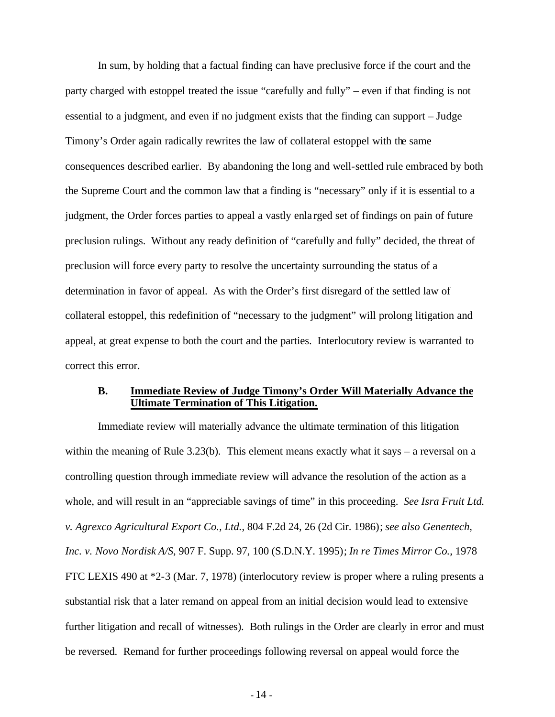In sum, by holding that a factual finding can have preclusive force if the court and the party charged with estoppel treated the issue "carefully and fully" – even if that finding is not essential to a judgment, and even if no judgment exists that the finding can support – Judge Timony's Order again radically rewrites the law of collateral estoppel with the same consequences described earlier. By abandoning the long and well-settled rule embraced by both the Supreme Court and the common law that a finding is "necessary" only if it is essential to a judgment, the Order forces parties to appeal a vastly enla rged set of findings on pain of future preclusion rulings. Without any ready definition of "carefully and fully" decided, the threat of preclusion will force every party to resolve the uncertainty surrounding the status of a determination in favor of appeal. As with the Order's first disregard of the settled law of collateral estoppel, this redefinition of "necessary to the judgment" will prolong litigation and appeal, at great expense to both the court and the parties. Interlocutory review is warranted to correct this error.

#### **B. Immediate Review of Judge Timony's Order Will Materially Advance the Ultimate Termination of This Litigation.**

Immediate review will materially advance the ultimate termination of this litigation within the meaning of Rule  $3.23(b)$ . This element means exactly what it says – a reversal on a controlling question through immediate review will advance the resolution of the action as a whole, and will result in an "appreciable savings of time" in this proceeding. *See Isra Fruit Ltd. v. Agrexco Agricultural Export Co., Ltd.*, 804 F.2d 24, 26 (2d Cir. 1986); *see also Genentech, Inc. v. Novo Nordisk A/S*, 907 F. Supp. 97, 100 (S.D.N.Y. 1995); *In re Times Mirror Co.*, 1978 FTC LEXIS 490 at \*2-3 (Mar. 7, 1978) (interlocutory review is proper where a ruling presents a substantial risk that a later remand on appeal from an initial decision would lead to extensive further litigation and recall of witnesses). Both rulings in the Order are clearly in error and must be reversed. Remand for further proceedings following reversal on appeal would force the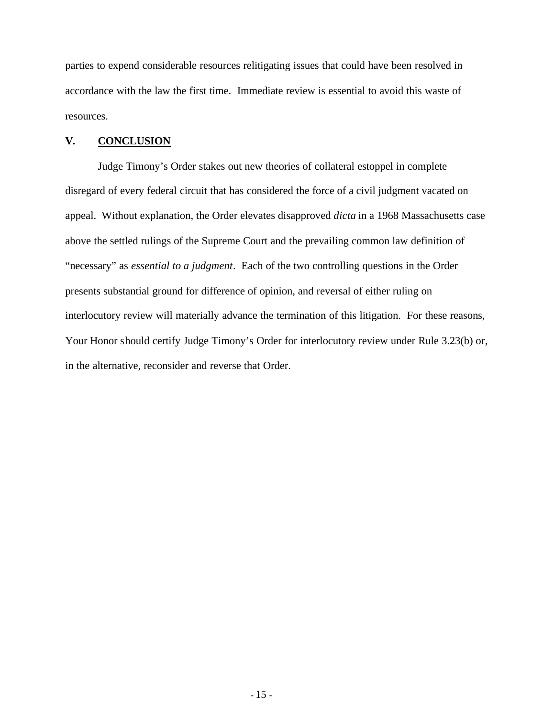parties to expend considerable resources relitigating issues that could have been resolved in accordance with the law the first time. Immediate review is essential to avoid this waste of resources.

#### **V. CONCLUSION**

Judge Timony's Order stakes out new theories of collateral estoppel in complete disregard of every federal circuit that has considered the force of a civil judgment vacated on appeal. Without explanation, the Order elevates disapproved *dicta* in a 1968 Massachusetts case above the settled rulings of the Supreme Court and the prevailing common law definition of "necessary" as *essential to a judgment*. Each of the two controlling questions in the Order presents substantial ground for difference of opinion, and reversal of either ruling on interlocutory review will materially advance the termination of this litigation. For these reasons, Your Honor should certify Judge Timony's Order for interlocutory review under Rule 3.23(b) or, in the alternative, reconsider and reverse that Order.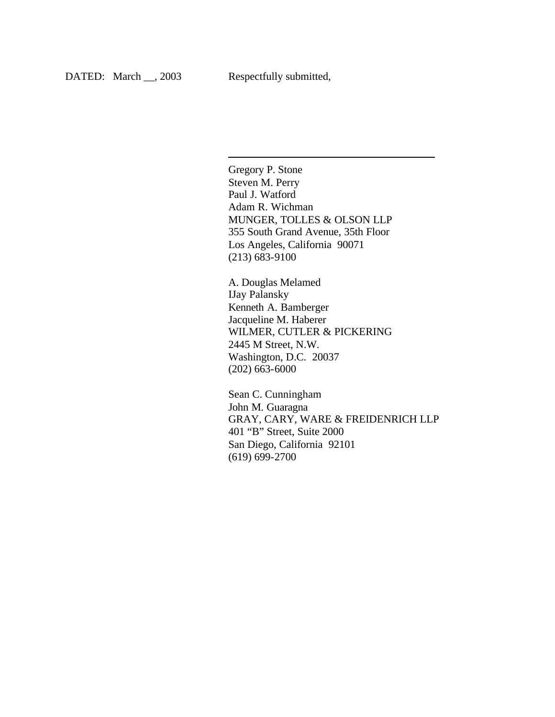l

Gregory P. Stone Steven M. Perry Paul J. Watford Adam R. Wichman MUNGER, TOLLES & OLSON LLP 355 South Grand Avenue, 35th Floor Los Angeles, California 90071 (213) 683-9100

A. Douglas Melamed IJay Palansky Kenneth A. Bamberger Jacqueline M. Haberer WILMER, CUTLER & PICKERING 2445 M Street, N.W. Washington, D.C. 20037 (202) 663-6000

Sean C. Cunningham John M. Guaragna GRAY, CARY, WARE & FREIDENRICH LLP 401 "B" Street, Suite 2000 San Diego, California 92101 (619) 699-2700